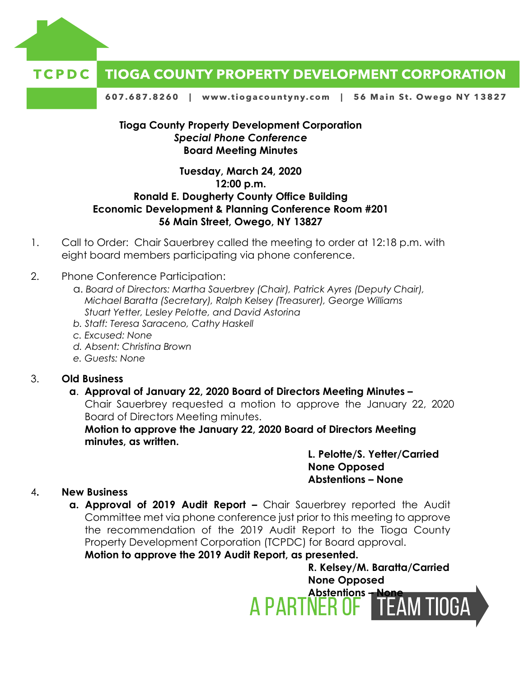



607.687.8260 | www.tiogacountyny.com | 56 Main St. Owego NY 13827

## **Tioga County Property Development Corporation** *Special Phone Conference*  **Board Meeting Minutes**

## **Tuesday, March 24, 2020 12:00 p.m. Ronald E. Dougherty County Office Building Economic Development & Planning Conference Room #201 56 Main Street, Owego, NY 13827**

- 1. Call to Order: Chair Sauerbrey called the meeting to order at 12:18 p.m. with eight board members participating via phone conference.
- 2. Phone Conference Participation:
	- a. *Board of Directors: Martha Sauerbrey (Chair), Patrick Ayres (Deputy Chair), Michael Baratta (Secretary), Ralph Kelsey (Treasurer), George Williams Stuart Yetter, Lesley Pelotte, and David Astorina*
	- *b. Staff: Teresa Saraceno, Cathy Haskell*
	- *c. Excused: None*
	- *d. Absent: Christina Brown*
	- *e. Guests: None*

### 3. **Old Business**

# **a**. **Approval of January 22, 2020 Board of Directors Meeting Minutes –**

Chair Sauerbrey requested a motion to approve the January 22, 2020 Board of Directors Meeting minutes.

**Motion to approve the January 22, 2020 Board of Directors Meeting minutes, as written.** 

## **L. Pelotte/S. Yetter/Carried None Opposed Abstentions – None**

### 4**. New Business**

**a. Approval of 2019 Audit Report –** Chair Sauerbrey reported the Audit Committee met via phone conference just prior to this meeting to approve the recommendation of the 2019 Audit Report to the Tioga County Property Development Corporation (TCPDC) for Board approval.

**Motion to approve the 2019 Audit Report, as presented.** 

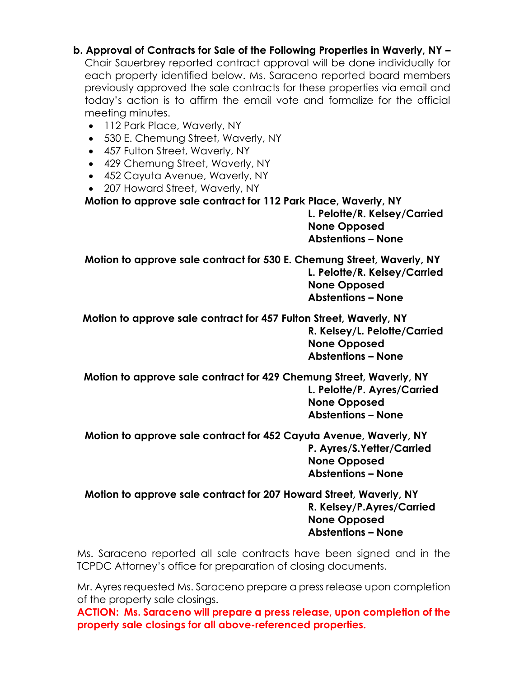**b. Approval of Contracts for Sale of the Following Properties in Waverly, NY –** Chair Sauerbrey reported contract approval will be done individually for each property identified below. Ms. Saraceno reported board members previously approved the sale contracts for these properties via email and today's action is to affirm the email vote and formalize for the official meeting minutes.

- 112 Park Place, Waverly, NY
- 530 E. Chemung Street, Waverly, NY
- 457 Fulton Street, Waverly, NY
- 429 Chemung Street, Waverly, NY
- 452 Cayuta Avenue, Waverly, NY
- 207 Howard Street, Waverly, NY

**Motion to approve sale contract for 112 Park Place, Waverly, NY** 

**L. Pelotte/R. Kelsey/Carried None Opposed Abstentions – None**

**Motion to approve sale contract for 530 E. Chemung Street, Waverly, NY L. Pelotte/R. Kelsey/Carried**

**None Opposed Abstentions – None**

 **Motion to approve sale contract for 457 Fulton Street, Waverly, NY R. Kelsey/L. Pelotte/Carried None Opposed Abstentions – None**

**Motion to approve sale contract for 429 Chemung Street, Waverly, NY L. Pelotte/P. Ayres/Carried None Opposed Abstentions – None**

**Motion to approve sale contract for 452 Cayuta Avenue, Waverly, NY P. Ayres/S.Yetter/Carried None Opposed Abstentions – None**

**Motion to approve sale contract for 207 Howard Street, Waverly, NY R. Kelsey/P.Ayres/Carried None Opposed Abstentions – None**

Ms. Saraceno reported all sale contracts have been signed and in the TCPDC Attorney's office for preparation of closing documents.

Mr. Ayres requested Ms. Saraceno prepare a press release upon completion of the property sale closings.

**ACTION: Ms. Saraceno will prepare a press release, upon completion of the property sale closings for all above-referenced properties.**